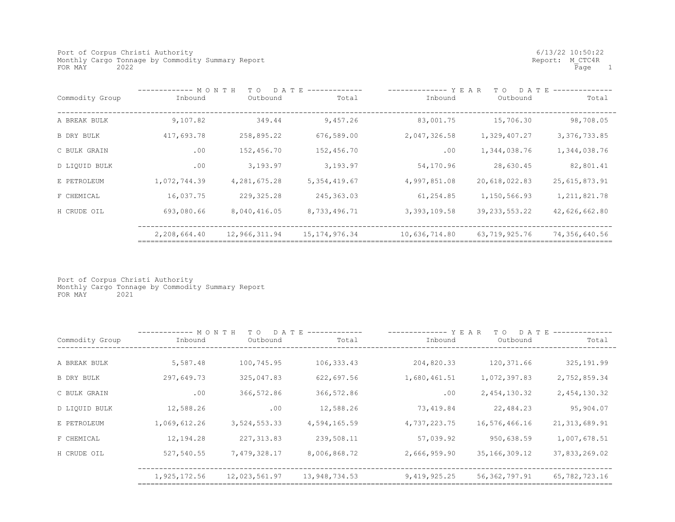Port of Corpus Christi Authority<br>
Monthly Cargo Tonnage by Commodity Summary Report<br>
Monthly Cargo Tonnage by Commodity Summary Report Monthly Cargo Tonnage by Commodity Summary Report <br>FOR MAY 2022 Report: M\_CTC4R<br>Rage 1  $FOR$   $MAX$  2022

|                 | --------- MONTH<br>D A T E<br>T O |                 |                  | YEAR<br>D A T E<br>T O |                  |                 |
|-----------------|-----------------------------------|-----------------|------------------|------------------------|------------------|-----------------|
| Commodity Group | Inbound                           | Outbound        | Total            | Inbound                | Outbound         | Total           |
|                 |                                   |                 |                  |                        |                  |                 |
| A BREAK BULK    | 9,107.82                          | 349.44          | 9,457.26         | 83,001.75              | 15,706.30        | 98,708.05       |
| B DRY BULK      | 417,693.78                        | 258,895.22      | 676,589.00       | 2,047,326.58           | 1,329,407.27     | 3, 376, 733.85  |
| C BULK GRAIN    | .00                               | 152,456.70      | 152,456.70       | .00                    | 1,344,038.76     | 1,344,038.76    |
| D LIQUID BULK   | .00                               | 3,193.97        | 3,193.97         | 54,170.96              | 28,630.45        | 82,801.41       |
| E PETROLEUM     | 1,072,744.39                      | 4, 281, 675. 28 | 5, 354, 419.67   | 4,997,851.08           | 20,618,022.83    | 25, 615, 873.91 |
| F CHEMICAL      | 16,037.75                         | 229, 325.28     | 245, 363.03      | 61,254.85              | 1,150,566.93     | 1, 211, 821.78  |
| H CRUDE OIL     | 693,080.66                        | 8,040,416.05    | 8,733,496.71     | 3, 393, 109.58         | 39, 233, 553. 22 | 42,626,662.80   |
|                 | 2,208,664.40                      | 12,966,311.94   | 15, 174, 976. 34 | 10,636,714.80          | 63,719,925.76    | 74,356,640.56   |

Port of Corpus Christi Authority Monthly Cargo Tonnage by Commodity Summary Report FOR MAY 2021

|                   | MONTH<br>D A T E<br>T O |               |               | YEAR<br>D A T<br>T 0 |                  |                 |
|-------------------|-------------------------|---------------|---------------|----------------------|------------------|-----------------|
| Commodity Group   | Inbound                 | Outbound      | Total         | Inbound              | Outbound         | Total           |
|                   |                         |               |               |                      |                  |                 |
| A BREAK BULK      | 5,587.48                | 100,745.95    | 106,333.43    | 204,820.33           | 120,371.66       | 325, 191.99     |
| <b>B DRY BULK</b> | 297,649.73              | 325,047.83    | 622,697.56    | 1,680,461.51         | 1,072,397.83     | 2,752,859.34    |
| C BULK GRAIN      | .00                     | 366,572.86    | 366,572.86    | .00                  | 2,454,130.32     | 2,454,130.32    |
| D LIQUID BULK     | 12,588.26               | .00           | 12,588.26     | 73,419.84            | 22,484.23        | 95,904.07       |
| E PETROLEUM       | 1,069,612.26            | 3,524,553.33  | 4,594,165.59  | 4,737,223.75         | 16,576,466.16    | 21, 313, 689.91 |
| F CHEMICAL        | 12,194.28               | 227, 313.83   | 239,508.11    | 57,039.92            | 950,638.59       | 1,007,678.51    |
| H CRUDE OIL       | 527,540.55              | 7,479,328.17  | 8,006,868.72  | 2,666,959.90         | 35, 166, 309. 12 | 37,833,269.02   |
|                   | 1,925,172.56            | 12,023,561.97 | 13,948,734.53 | 9,419,925.25         | 56, 362, 797.91  | 65,782,723.16   |
|                   |                         |               |               |                      |                  |                 |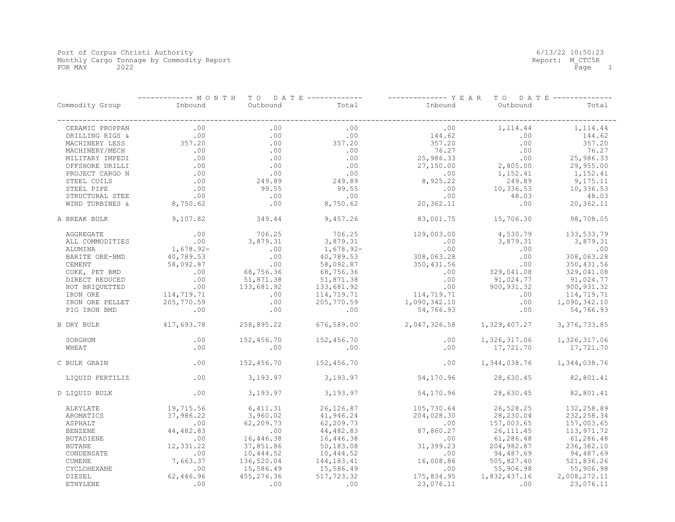|                 | T O D A T E -------------<br>----------- M O N T H |                 |              | -------------- Y E A R T O<br>D A T E -------------- |                           |              |
|-----------------|----------------------------------------------------|-----------------|--------------|------------------------------------------------------|---------------------------|--------------|
| Commodity Group | Inbound                                            | Outbound        | Total        | Inbound                                              | Outbound                  | Total        |
| CERAMIC PROPPAN | .00                                                | .00             | .00          | .00                                                  | 1, 114.44                 | 1, 114.44    |
| DRILLING RIGS & | .00                                                | .00             | .00          | 144.62                                               | .00                       | 144.62       |
| MACHINERY LESS  | 357.20                                             | .00             | 357.20       | 357.20                                               | .00                       | 357.20       |
| MACHINERY/MECH  | .00                                                | .00             | .00          | 76.27                                                | .00                       | 76.27        |
| MILITARY IMPEDI | .00                                                | .00             | .00          | 25,986.33                                            | .00                       | 25,986.33    |
| OFFSHORE DRILLI | .00                                                | .00             | .00          | 27,150.00                                            | 2,805.00                  | 29,955.00    |
| PROJECT CARGO N | .00                                                | .00             | .00          | .00                                                  | 1,152.41                  | 1,152.41     |
| STEEL COILS     | .00                                                | 249.89          | 249.89       | 8,925.22                                             | 249.89                    | 9,175.11     |
| STEEL PIPE      | .00                                                | 99.55           | 99.55        | .00                                                  | 10,336.53                 | 10,336.53    |
| STRUCTURAL STEE | .00                                                | .00             | .00          | .00                                                  | 48.03                     | 48.03        |
| WIND TURBINES & | 8,750.62                                           | .00             | 8,750.62     | 20,362.11                                            | .00                       | 20,362.11    |
| A BREAK BULK    | 9,107.82                                           | 349.44          | 9,457.26     | 83,001.75                                            | 15,706.30                 | 98,708.05    |
| AGGREGATE       | .00                                                | 706.25          | 706.25       | 129,003.00                                           | 4,530.79                  | 133,533.79   |
| ALL COMMODITIES | .00                                                | 3,879.31        | 3,879.31     | .00                                                  | 3,879.31                  | 3,879.31     |
| ALUMINA         | $1,678.92-$                                        | .00             | $1,678.92-$  | .00                                                  | .00                       | .00          |
| BARITE ORE-BMD  | 40,789.53                                          | .00             | 40,789.53    | 308,063.28                                           | .00                       | 308,063.28   |
| CEMENT          | 58,092.87                                          | .00             | 58,092.87    | 350,431.56                                           | .00                       | 350, 431.56  |
| COKE, PET BMD   | .00                                                | 68,756.36       | 68,756.36    | $.00 \,$                                             | 329,041.08                | 329,041.08   |
| DIRECT REDUCED  | .00                                                | 51,871.38       | 51,871.38    | .00                                                  | 91,024.77                 | 91,024.77    |
| HOT BRIQUETTED  | .00                                                | 133,681.92      | 133,681.92   | .00                                                  | 900, 931.32               | 900,931.32   |
| IRON ORE        | 114,719.71                                         | .00             | 114,719.71   | 114,719.71                                           | .00                       | 114,719.71   |
| IRON ORE PELLET | 205,770.59                                         | .00             | 205,770.59   | 1,090,342.10                                         | .00                       | 1,090,342.10 |
| PIG IRON BMD    | .00                                                | .00             | .00          | 54,766.93                                            | .00                       | 54,766.93    |
| B DRY BULK      | 417,693.78                                         | 258,895.22      | 676,589.00   | 2,047,326.58                                         | 1,329,407.27              | 3,376,733.85 |
| SORGHUM         | .00                                                | 152,456.70      | 152,456.70   | .00                                                  | 1,326,317.06              | 1,326,317.06 |
| WHEAT           | .00                                                | .00             | .00          | .00                                                  | 17,721.70                 | 17,721.70    |
| C BULK GRAIN    | .00                                                | 152,456.70      | 152,456.70   | .00                                                  | 1,344,038.76 1,344,038.76 |              |
| LIQUID FERTILIZ | .00                                                | 3,193.97        | 3,193.97     | 54,170.96                                            | 28,630.45                 | 82,801.41    |
| D LIQUID BULK   | .00                                                | 3,193.97        | 3,193.97     | 54,170.96                                            | 28,630.45                 | 82,801.41    |
| ALKYLATE        | 19,715.56                                          | 6,411.31        | 26, 126.87   | 105,730.64                                           | 26,528.25                 | 132,258.89   |
| AROMATICS       | 37,986.22                                          | 3,960.02        | 41,946.24    | 204,028.30                                           | 28,230.04                 | 232, 258.34  |
| ASPHALT         | .00                                                | 62,209.73       | 62,209.73    | .00                                                  | 157,003.65                | 157,003.65   |
| <b>BENZENE</b>  | 44,482.83                                          | $\overline{00}$ | 44,482.83    | 87,860.27                                            | 26, 111.45                | 113,971.72   |
| BUTADIENE       | .00                                                | 16,446.38       | 16,446.38    | .00                                                  | 61,286.48                 | 61,286.48    |
| <b>BUTANE</b>   | 12,331.22                                          | 37,851.86       | 50,183.08    | 31,399.23                                            | 204,982.87                | 236,382.10   |
| CONDENSATE      | .00                                                | 10,444.52       | 10,444.52    | .00                                                  | 94,487.69                 | 94,487.69    |
| CUMENE          | 7,663.37                                           | 136,520.04      | 144, 183. 41 | 16,008.86                                            | 505,827.40                | 521,836.26   |
| CYCLOHEXANE     | .00                                                | 15,586.49       | 15,586.49    | .00                                                  | 55,906.98                 | 55,906.98    |
| DIESEL          | 62,446.96                                          | 455,276.36      | 517,723.32   | 175,834.95                                           | 1,832,437.16              | 2,008,272.11 |
| <b>ETHYLENE</b> | .00                                                | .00             | .00          | 23,076.11                                            | $\sim$ 00                 | 23,076.11    |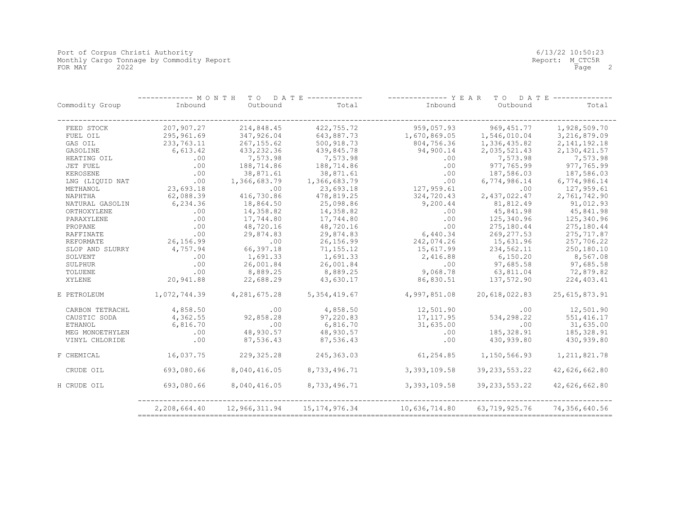|                 | ----- M O N T H<br>T O<br>D A T E |               |                  | ----------- Y E A R<br>T O<br>D A T E |                  |                 |
|-----------------|-----------------------------------|---------------|------------------|---------------------------------------|------------------|-----------------|
| Commodity Group | Inbound                           | Outbound      | Total            | Inbound                               | Outbound         | Total           |
| FEED STOCK      | 207,907.27                        | 214,848.45    | 422,755.72       | 959,057.93                            | 969, 451.77      | 1,928,509.70    |
| FUEL OIL        | 295,961.69                        | 347,926.04    | 643,887.73       | 1,670,869.05                          | 1,546,010.04     | 3,216,879.09    |
| GAS OIL         | 233,763.11                        | 267, 155.62   | 500,918.73       | 804,756.36                            | 1,336,435.82     | 2, 141, 192. 18 |
| GASOLINE        | 6,613.42                          | 433,232.36    | 439,845.78       | 94,900.14                             | 2,035,521.43     | 2,130,421.57    |
| HEATING OIL     | .00                               | 7,573.98      | 7,573.98         | .00                                   | 7,573.98         | 7,573.98        |
| JET FUEL        | .00                               | 188,714.86    | 188,714.86       | .00                                   | 977,765.99       | 977,765.99      |
| KEROSENE        | .00                               | 38,871.61     | 38,871.61        | .00                                   | 187,586.03       | 187,586.03      |
| LNG (LIOUID NAT | .00                               | 1,366,683.79  | 1,366,683.79     | .00                                   | 6,774,986.14     | 6,774,986.14    |
| METHANOL        | 23,693.18                         | .00           | 23,693.18        | 127,959.61                            | .00              | 127,959.61      |
| NAPHTHA         | 62,088.39                         | 416,730.86    | 478,819.25       | 324,720.43                            | 2,437,022.47     | 2,761,742.90    |
| NATURAL GASOLIN | 6,234.36                          | 18,864.50     | 25,098.86        | 9,200.44                              | 81,812.49        | 91,012.93       |
| ORTHOXYLENE     | .00                               | 14,358.82     | 14,358.82        | .00                                   | 45,841.98        | 45,841.98       |
| PARAXYLENE      | .00                               | 17,744.80     | 17,744.80        | .00                                   | 125,340.96       | 125,340.96      |
| PROPANE         | .00                               | 48,720.16     | 48,720.16        | .00                                   | 275,180.44       | 275,180.44      |
| RAFFINATE       | .00                               | 29,874.83     | 29,874.83        | 6,440.34                              | 269, 277.53      | 275, 717.87     |
| REFORMATE       | 26,156.99                         | .00           | 26,156.99        | 242,074.26                            | 15,631.96        | 257,706.22      |
| SLOP AND SLURRY | 4,757.94                          | 66,397.18     | 71, 155.12       | 15,617.99                             | 234,562.11       | 250,180.10      |
| SOLVENT         | .00                               | 1,691.33      | 1,691.33         | 2,416.88                              | 6, 150.20        | 8,567.08        |
| SULPHUR         | .00                               | 26,001.84     | 26,001.84        | .00                                   | 97,685.58        | 97,685.58       |
| TOLUENE         | .00                               | 8,889.25      | 8,889.25         | 9,068.78                              | 63,811.04        | 72,879.82       |
| XYLENE          | 20,941.88                         | 22,688.29     | 43,630.17        | 86,830.51                             | 137,572.90       | 224,403.41      |
| E PETROLEUM     | 1,072,744.39                      | 4,281,675.28  | 5,354,419.67     | 4,997,851.08                          | 20,618,022.83    | 25, 615, 873.91 |
| CARBON TETRACHL | 4,858.50                          | .00           | 4,858.50         | 12,501.90                             | .00              | 12,501.90       |
| CAUSTIC SODA    | 4,362.55                          | 92,858.28     | 97,220.83        | 17, 117.95                            | 534,298.22       | 551, 416.17     |
| ETHANOL         | 6,816.70                          | .00           | 6,816.70         | 31,635.00                             | .00              | 31,635.00       |
| MEG MONOETHYLEN | .00                               | 48,930.57     | 48,930.57        | .00                                   | 185, 328.91      | 185, 328.91     |
| VINYL CHLORIDE  | .00                               | 87,536.43     | 87,536.43        | .00                                   | 430,939.80       | 430,939.80      |
| F CHEMICAL      | 16,037.75                         | 229, 325.28   | 245, 363.03      | 61,254.85                             | 1,150,566.93     | 1, 211, 821.78  |
| CRUDE OIL       | 693,080.66                        | 8,040,416.05  | 8,733,496.71     | 3,393,109.58                          | 39, 233, 553. 22 | 42,626,662.80   |
| H CRUDE OIL     | 693,080.66                        | 8,040,416.05  | 8,733,496.71     | 3,393,109.58                          | 39, 233, 553. 22 | 42,626,662.80   |
|                 | 2,208,664.40                      | 12,966,311.94 | 15, 174, 976. 34 | 10,636,714.80                         | 63,719,925.76    | 74,356,640.56   |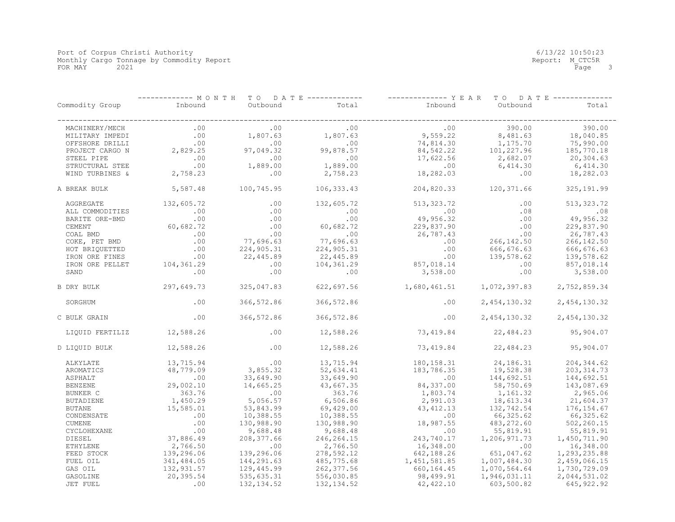|                 | ---------- M O N T H<br>TO DATE ------------- |             |              | -------------- Y E A R<br>T O<br>D A T E ---------- |              |              |
|-----------------|-----------------------------------------------|-------------|--------------|-----------------------------------------------------|--------------|--------------|
| Commodity Group | Inbound                                       | Outbound    | Total        | Inbound                                             | Outbound     | Total        |
| MACHINERY/MECH  | .00                                           | .00         | .00          | .00                                                 | 390.00       | 390.00       |
| MILITARY IMPEDI | .00                                           | 1,807.63    | 1,807.63     | 9,559.22                                            | 8,481.63     | 18,040.85    |
| OFFSHORE DRILLI | .00                                           | .00         | .00          | 74,814.30                                           | 1,175.70     | 75,990.00    |
| PROJECT CARGO N | 2,829.25                                      | 97,049.32   | 99,878.57    | 84,542.22                                           | 101,227.96   | 185,770.18   |
| STEEL PIPE      | .00                                           | .00         | .00          | 17,622.56                                           | 2,682.07     | 20,304.63    |
| STRUCTURAL STEE | .00                                           | 1,889.00    | 1,889.00     | .00                                                 | 6,414.30     | 6,414.30     |
| WIND TURBINES & | 2,758.23                                      | .00         | 2,758.23     | 18,282.03                                           | .00          | 18,282.03    |
| A BREAK BULK    | 5,587.48                                      | 100,745.95  | 106,333.43   | 204,820.33                                          | 120,371.66   | 325, 191.99  |
| AGGREGATE       | 132,605.72                                    | .00         | 132,605.72   | 513, 323. 72                                        | .00          | 513, 323.72  |
| ALL COMMODITIES | .00                                           | .00         | .00          | .00                                                 | .08          | .08          |
| BARITE ORE-BMD  | .00                                           | .00         | .00          | 49,956.32                                           | .00          | 49,956.32    |
| CEMENT          | 60,682.72                                     | .00         | 60,682.72    | 229,837.90                                          | .00          | 229,837.90   |
| COAL BMD        | .00                                           | .00         | .00          | 26,787.43                                           | .00          | 26,787.43    |
| COKE, PET BMD   | .00                                           | 77,696.63   | 77,696.63    | .00                                                 | 266, 142.50  | 266, 142.50  |
| HOT BRIQUETTED  | .00                                           | 224,905.31  | 224,905.31   | .00                                                 | 666,676.63   | 666, 676.63  |
| IRON ORE FINES  | .00                                           | 22,445.89   | 22,445.89    | .00                                                 | 139,578.62   | 139,578.62   |
| IRON ORE PELLET | 104,361.29                                    | .00         | 104,361.29   | 857,018.14                                          | .00          | 857,018.14   |
| SAND            | .00                                           | .00         | .00          | 3,538.00                                            | .00          | 3,538.00     |
| B DRY BULK      | 297,649.73                                    | 325,047.83  | 622,697.56   | 1,680,461.51                                        | 1,072,397.83 | 2,752,859.34 |
| SORGHUM         | .00                                           | 366,572.86  | 366,572.86   | .00                                                 | 2,454,130.32 | 2,454,130.32 |
| C BULK GRAIN    | .00                                           | 366,572.86  | 366,572.86   | .00                                                 | 2,454,130.32 | 2,454,130.32 |
| LIQUID FERTILIZ | 12,588.26                                     | .00         | 12,588.26    | 73,419.84                                           | 22,484.23    | 95,904.07    |
| D LIQUID BULK   | 12,588.26                                     | .00         | 12,588.26    | 73,419.84                                           | 22,484.23    | 95,904.07    |
| ALKYLATE        | 13,715.94                                     | .00         | 13,715.94    | 180, 158.31                                         | 24,186.31    | 204, 344.62  |
| AROMATICS       | 48,779.09                                     | 3,855.32    | 52,634.41    | 183,786.35                                          | 19,528.38    | 203, 314.73  |
| ASPHALT         | $\overline{00}$                               | 33,649.90   | 33,649.90    | .00                                                 | 144,692.51   | 144,692.51   |
| <b>BENZENE</b>  | 29,002.10                                     | 14,665.25   | 43,667.35    | 84,337.00                                           | 58,750.69    | 143,087.69   |
| BUNKER C        | 363.76                                        | .00         | 363.76       | 1,803.74                                            | 1,161.32     | 2,965.06     |
| BUTADIENE       | 1,450.29                                      | 5,056.57    | 6,506.86     | 2,991.03                                            | 18,613.34    | 21,604.37    |
| <b>BUTANE</b>   | 15,585.01                                     | 53,843.99   | 69,429.00    | 43, 412.13                                          | 132,742.54   | 176, 154.67  |
| CONDENSATE      | .00                                           | 10,388.55   | 10,388.55    | .00                                                 | 66,325.62    | 66,325.62    |
| <b>CUMENE</b>   | .00                                           | 130,988.90  | 130,988.90   | 18,987.55                                           | 483, 272.60  | 502,260.15   |
| CYCLOHEXANE     | .00                                           | 9,688.48    | 9,688.48     | .00                                                 | 55,819.91    | 55,819.91    |
| DIESEL          | 37,886.49                                     | 208, 377.66 | 246, 264. 15 | 243,740.17                                          | 1,206,971.73 | 1,450,711.90 |
| <b>ETHYLENE</b> | 2,766.50                                      | .00         | 2,766.50     | 16,348.00                                           | .00          | 16,348.00    |
| FEED STOCK      | 139,296.06                                    | 139,296.06  | 278,592.12   | 642,188.26                                          | 651,047.62   | 1,293,235.88 |
| FUEL OIL        | 341,484.05                                    | 144,291.63  | 485,775.68   | 1,451,581.85                                        | 1,007,484.30 | 2,459,066.15 |
| GAS OIL         | 132,931.57                                    | 129,445.99  | 262, 377.56  | 660,164.45                                          | 1,070,564.64 | 1,730,729.09 |
| GASOLINE        | 20,395.54                                     | 535,635.31  | 556,030.85   | 98,499.91                                           | 1,946,031.11 | 2,044,531.02 |
| JET FUEL        | .00                                           | 132, 134.52 | 132, 134.52  | 42, 422.10                                          | 603,500.82   | 645, 922.92  |